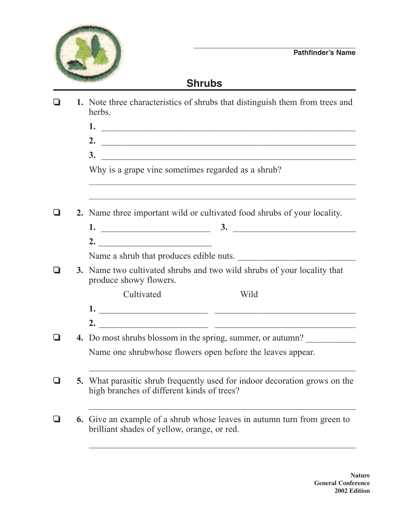

## **Shrubs**

| l I | 1. Note three characteristics of shrubs that distinguish them from trees and<br>herbs.                                                 |
|-----|----------------------------------------------------------------------------------------------------------------------------------------|
|     | $1.$ $\overline{\phantom{a}}$                                                                                                          |
|     |                                                                                                                                        |
|     | $\frac{3}{2}$                                                                                                                          |
|     | Why is a grape vine sometimes regarded as a shrub?<br>,我们也不会有什么。""我们的人,我们也不会有什么?""我们的人,我们也不会有什么?""我们的人,我们也不会有什么?""我们的人,我们也不会有什么?""我们的人 |
|     | 2. Name three important wild or cultivated food shrubs of your locality.                                                               |
|     |                                                                                                                                        |
|     |                                                                                                                                        |
|     |                                                                                                                                        |
|     | Name a shrub that produces edible nuts.                                                                                                |
|     | 3. Name two cultivated shrubs and two wild shrubs of your locality that<br>produce showy flowers.                                      |
|     | Cultivated<br>Wild                                                                                                                     |
|     |                                                                                                                                        |
|     | 2. $\overline{\phantom{a}}$                                                                                                            |
|     | 4. Do most shrubs blossom in the spring, summer, or autumn?                                                                            |
|     | Name one shrubwhose flowers open before the leaves appear.                                                                             |
|     | 5. What parasitic shrub frequently used for indoor decoration grows on the<br>high branches of different kinds of trees?               |
|     | <b>6.</b> Give an example of a shrub whose leaves in autumn turn from green to<br>brilliant shades of yellow, orange, or red.          |
|     |                                                                                                                                        |